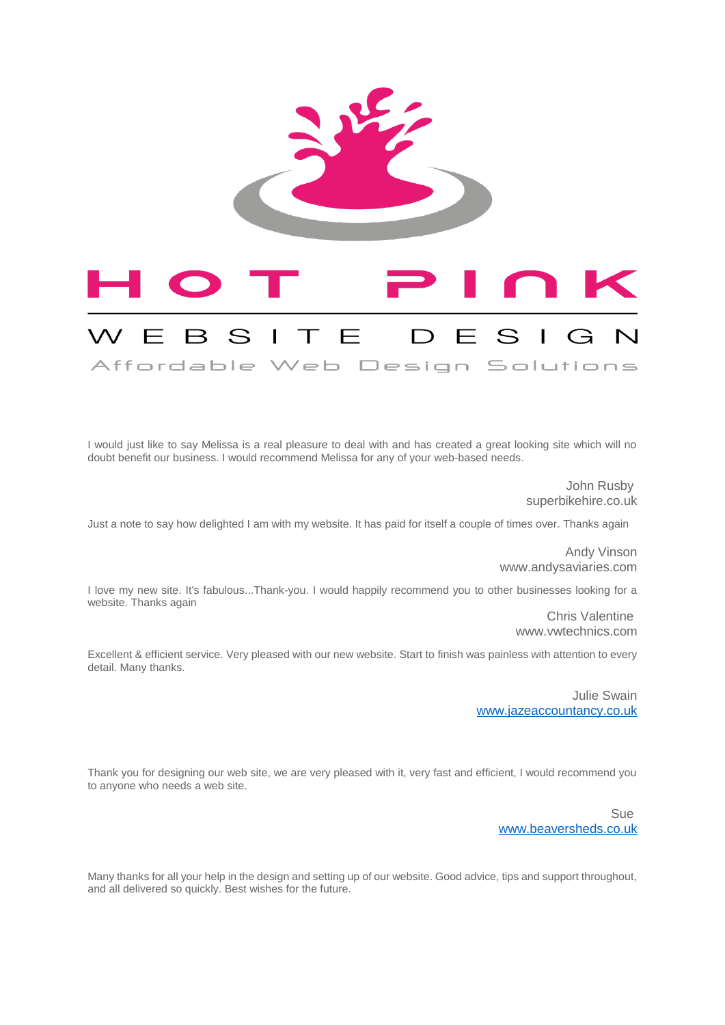

I would just like to say Melissa is a real pleasure to deal with and has created a great looking site which will no doubt benefit our business. I would recommend Melissa for any of your web-based needs.

Affordable Web Design Solutions

John Rusby superbikehire.co.uk

Just a note to say how delighted I am with my website. It has paid for itself a couple of times over. Thanks again

Andy Vinson www.andysaviaries.com

I love my new site. It's fabulous...Thank-you. I would happily recommend you to other businesses looking for a website. Thanks again

> Chris Valentine www.vwtechnics.com

Excellent & efficient service. Very pleased with our new website. Start to finish was painless with attention to every detail. Many thanks.

> Julie Swain [www.jazeaccountancy.co.uk](http://www.jazeaccountancy.co.uk/)

Thank you for designing our web site, we are very pleased with it, very fast and efficient, I would recommend you to anyone who needs a web site.

> Sue [www.beaversheds.co.uk](http://www.beaversheds.co.uk/)

Many thanks for all your help in the design and setting up of our website. Good advice, tips and support throughout, and all delivered so quickly. Best wishes for the future.